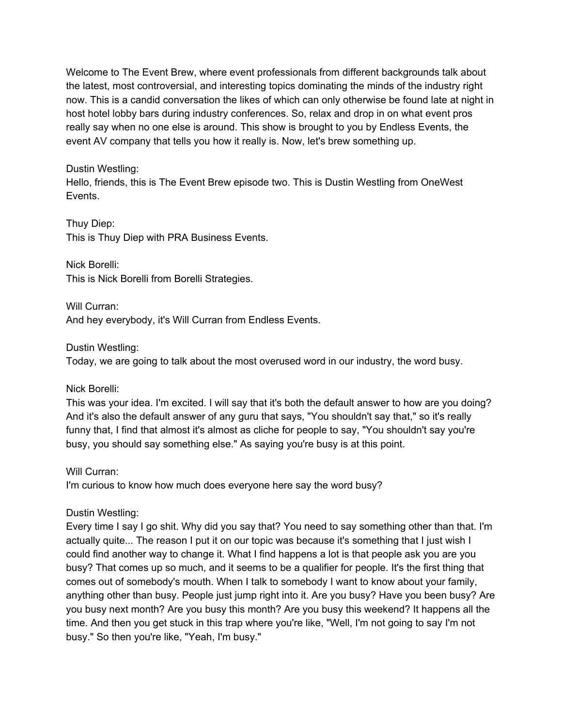Welcome to The Event Brew, where event professionals from different backgrounds talk about the latest, most controversial, and interesting topics dominating the minds of the industry right now. This is a candid conversation the likes of which can only otherwise be found late at night in host hotel lobby bars during industry conferences. So, relax and drop in on what event pros really say when no one else is around. This show is brought to you by Endless Events, the event AV company that tells you how it really is. Now, let's brew something up.

### Dustin Westling:

Hello, friends, this is The Event Brew episode two. This is Dustin Westling from OneWest Events.

Thuy Diep: This is Thuy Diep with PRA Business Events.

Nick Borelli: This is Nick Borelli from Borelli Strategies.

Will Curran: And hey everybody, it's Will Curran from Endless Events.

Dustin Westling:

Today, we are going to talk about the most overused word in our industry, the word busy.

Nick Borelli:

This was your idea. I'm excited. I will say that it's both the default answer to how are you doing? And it's also the default answer of any guru that says, "You shouldn't say that," so it's really funny that, I find that almost it's almost as cliche for people to say, "You shouldn't say you're busy, you should say something else." As saying you're busy is at this point.

## Will Curran:

I'm curious to know how much does everyone here say the word busy?

Dustin Westling:

Every time I say I go shit. Why did you say that? You need to say something other than that. I'm actually quite... The reason I put it on our topic was because it's something that I just wish I could find another way to change it. What I find happens a lot is that people ask you are you busy? That comes up so much, and it seems to be a qualifier for people. It's the first thing that comes out of somebody's mouth. When I talk to somebody I want to know about your family, anything other than busy. People just jump right into it. Are you busy? Have you been busy? Are you busy next month? Are you busy this month? Are you busy this weekend? It happens all the time. And then you get stuck in this trap where you're like, "Well, I'm not going to say I'm not busy." So then you're like, "Yeah, I'm busy."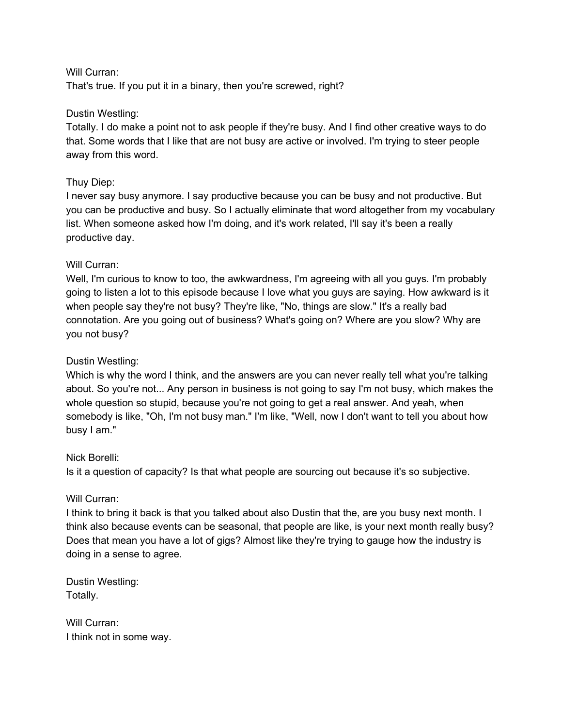#### Will Curran:

That's true. If you put it in a binary, then you're screwed, right?

#### Dustin Westling:

Totally. I do make a point not to ask people if they're busy. And I find other creative ways to do that. Some words that I like that are not busy are active or involved. I'm trying to steer people away from this word.

#### Thuy Diep:

I never say busy anymore. I say productive because you can be busy and not productive. But you can be productive and busy. So I actually eliminate that word altogether from my vocabulary list. When someone asked how I'm doing, and it's work related, I'll say it's been a really productive day.

#### Will Curran:

Well, I'm curious to know to too, the awkwardness, I'm agreeing with all you guys. I'm probably going to listen a lot to this episode because I love what you guys are saying. How awkward is it when people say they're not busy? They're like, "No, things are slow." It's a really bad connotation. Are you going out of business? What's going on? Where are you slow? Why are you not busy?

#### Dustin Westling:

Which is why the word I think, and the answers are you can never really tell what you're talking about. So you're not... Any person in business is not going to say I'm not busy, which makes the whole question so stupid, because you're not going to get a real answer. And yeah, when somebody is like, "Oh, I'm not busy man." I'm like, "Well, now I don't want to tell you about how busy I am."

#### Nick Borelli:

Is it a question of capacity? Is that what people are sourcing out because it's so subjective.

#### Will Curran:

I think to bring it back is that you talked about also Dustin that the, are you busy next month. I think also because events can be seasonal, that people are like, is your next month really busy? Does that mean you have a lot of gigs? Almost like they're trying to gauge how the industry is doing in a sense to agree.

Dustin Westling: Totally.

Will Curran: I think not in some way.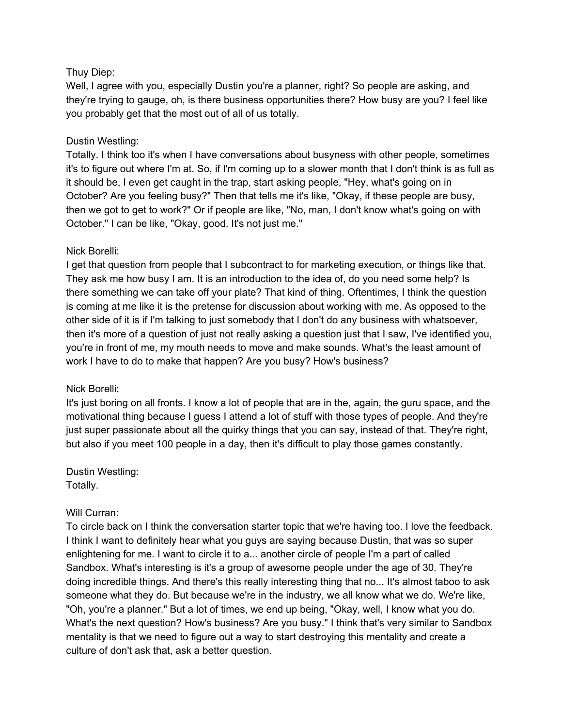## Thuy Diep:

Well, I agree with you, especially Dustin you're a planner, right? So people are asking, and they're trying to gauge, oh, is there business opportunities there? How busy are you? I feel like you probably get that the most out of all of us totally.

### Dustin Westling:

Totally. I think too it's when I have conversations about busyness with other people, sometimes it's to figure out where I'm at. So, if I'm coming up to a slower month that I don't think is as full as it should be, I even get caught in the trap, start asking people, "Hey, what's going on in October? Are you feeling busy?" Then that tells me it's like, "Okay, if these people are busy, then we got to get to work?" Or if people are like, "No, man, I don't know what's going on with October." I can be like, "Okay, good. It's not just me."

### Nick Borelli:

I get that question from people that I subcontract to for marketing execution, or things like that. They ask me how busy I am. It is an introduction to the idea of, do you need some help? Is there something we can take off your plate? That kind of thing. Oftentimes, I think the question is coming at me like it is the pretense for discussion about working with me. As opposed to the other side of it is if I'm talking to just somebody that I don't do any business with whatsoever, then it's more of a question of just not really asking a question just that I saw, I've identified you, you're in front of me, my mouth needs to move and make sounds. What's the least amount of work I have to do to make that happen? Are you busy? How's business?

#### Nick Borelli:

It's just boring on all fronts. I know a lot of people that are in the, again, the guru space, and the motivational thing because I guess I attend a lot of stuff with those types of people. And they're just super passionate about all the quirky things that you can say, instead of that. They're right, but also if you meet 100 people in a day, then it's difficult to play those games constantly.

Dustin Westling: Totally.

#### Will Curran:

To circle back on I think the conversation starter topic that we're having too. I love the feedback. I think I want to definitely hear what you guys are saying because Dustin, that was so super enlightening for me. I want to circle it to a... another circle of people I'm a part of called Sandbox. What's interesting is it's a group of awesome people under the age of 30. They're doing incredible things. And there's this really interesting thing that no... It's almost taboo to ask someone what they do. But because we're in the industry, we all know what we do. We're like, "Oh, you're a planner." But a lot of times, we end up being, "Okay, well, I know what you do. What's the next question? How's business? Are you busy." I think that's very similar to Sandbox mentality is that we need to figure out a way to start destroying this mentality and create a culture of don't ask that, ask a better question.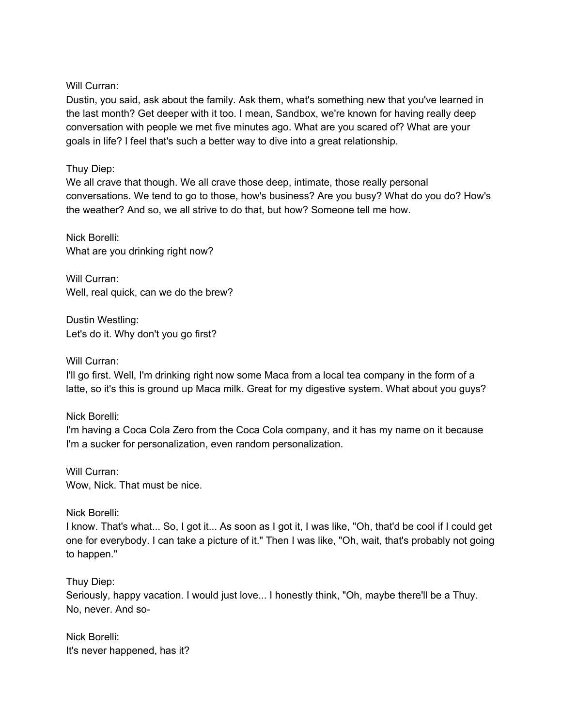Will Curran:

Dustin, you said, ask about the family. Ask them, what's something new that you've learned in the last month? Get deeper with it too. I mean, Sandbox, we're known for having really deep conversation with people we met five minutes ago. What are you scared of? What are your goals in life? I feel that's such a better way to dive into a great relationship.

## Thuy Diep:

We all crave that though. We all crave those deep, intimate, those really personal conversations. We tend to go to those, how's business? Are you busy? What do you do? How's the weather? And so, we all strive to do that, but how? Someone tell me how.

Nick Borelli: What are you drinking right now?

Will Curran: Well, real quick, can we do the brew?

Dustin Westling: Let's do it. Why don't you go first?

Will Curran:

I'll go first. Well, I'm drinking right now some Maca from a local tea company in the form of a latte, so it's this is ground up Maca milk. Great for my digestive system. What about you guys?

Nick Borelli:

I'm having a Coca Cola Zero from the Coca Cola company, and it has my name on it because I'm a sucker for personalization, even random personalization.

Will Curran: Wow, Nick. That must be nice.

Nick Borelli:

I know. That's what... So, I got it... As soon as I got it, I was like, "Oh, that'd be cool if I could get one for everybody. I can take a picture of it." Then I was like, "Oh, wait, that's probably not going to happen."

Thuy Diep:

Seriously, happy vacation. I would just love... I honestly think, "Oh, maybe there'll be a Thuy. No, never. And so-

Nick Borelli: It's never happened, has it?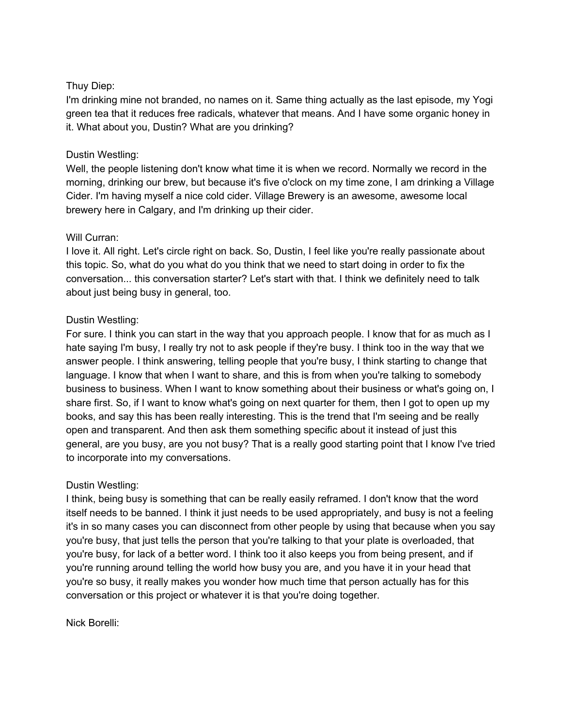## Thuy Diep:

I'm drinking mine not branded, no names on it. Same thing actually as the last episode, my Yogi green tea that it reduces free radicals, whatever that means. And I have some organic honey in it. What about you, Dustin? What are you drinking?

## Dustin Westling:

Well, the people listening don't know what time it is when we record. Normally we record in the morning, drinking our brew, but because it's five o'clock on my time zone, I am drinking a Village Cider. I'm having myself a nice cold cider. Village Brewery is an awesome, awesome local brewery here in Calgary, and I'm drinking up their cider.

#### Will Curran:

I love it. All right. Let's circle right on back. So, Dustin, I feel like you're really passionate about this topic. So, what do you what do you think that we need to start doing in order to fix the conversation... this conversation starter? Let's start with that. I think we definitely need to talk about just being busy in general, too.

### Dustin Westling:

For sure. I think you can start in the way that you approach people. I know that for as much as I hate saying I'm busy, I really try not to ask people if they're busy. I think too in the way that we answer people. I think answering, telling people that you're busy, I think starting to change that language. I know that when I want to share, and this is from when you're talking to somebody business to business. When I want to know something about their business or what's going on, I share first. So, if I want to know what's going on next quarter for them, then I got to open up my books, and say this has been really interesting. This is the trend that I'm seeing and be really open and transparent. And then ask them something specific about it instead of just this general, are you busy, are you not busy? That is a really good starting point that I know I've tried to incorporate into my conversations.

#### Dustin Westling:

I think, being busy is something that can be really easily reframed. I don't know that the word itself needs to be banned. I think it just needs to be used appropriately, and busy is not a feeling it's in so many cases you can disconnect from other people by using that because when you say you're busy, that just tells the person that you're talking to that your plate is overloaded, that you're busy, for lack of a better word. I think too it also keeps you from being present, and if you're running around telling the world how busy you are, and you have it in your head that you're so busy, it really makes you wonder how much time that person actually has for this conversation or this project or whatever it is that you're doing together.

Nick Borelli: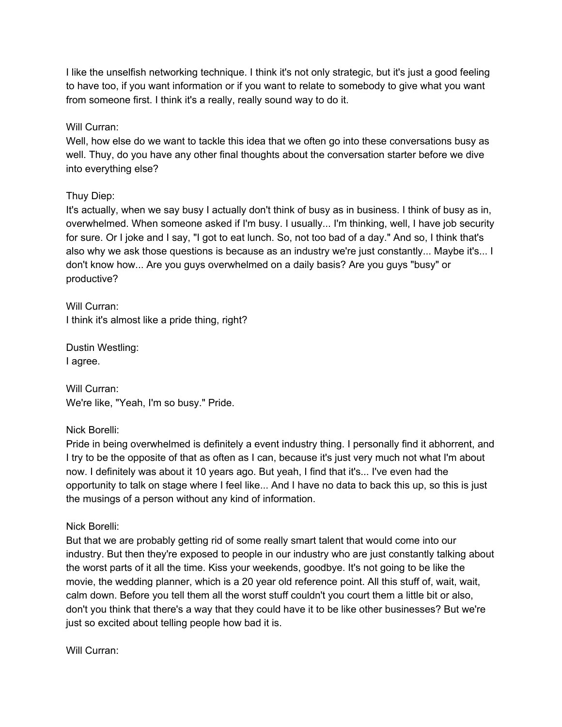I like the unselfish networking technique. I think it's not only strategic, but it's just a good feeling to have too, if you want information or if you want to relate to somebody to give what you want from someone first. I think it's a really, really sound way to do it.

Will Curran:

Well, how else do we want to tackle this idea that we often go into these conversations busy as well. Thuy, do you have any other final thoughts about the conversation starter before we dive into everything else?

### Thuy Diep:

It's actually, when we say busy I actually don't think of busy as in business. I think of busy as in, overwhelmed. When someone asked if I'm busy. I usually... I'm thinking, well, I have job security for sure. Or I joke and I say, "I got to eat lunch. So, not too bad of a day." And so, I think that's also why we ask those questions is because as an industry we're just constantly... Maybe it's... I don't know how... Are you guys overwhelmed on a daily basis? Are you guys "busy" or productive?

Will Curran: I think it's almost like a pride thing, right?

Dustin Westling: I agree.

Will Curran: We're like, "Yeah, I'm so busy." Pride.

Nick Borelli:

Pride in being overwhelmed is definitely a event industry thing. I personally find it abhorrent, and I try to be the opposite of that as often as I can, because it's just very much not what I'm about now. I definitely was about it 10 years ago. But yeah, I find that it's... I've even had the opportunity to talk on stage where I feel like... And I have no data to back this up, so this is just the musings of a person without any kind of information.

Nick Borelli:

But that we are probably getting rid of some really smart talent that would come into our industry. But then they're exposed to people in our industry who are just constantly talking about the worst parts of it all the time. Kiss your weekends, goodbye. It's not going to be like the movie, the wedding planner, which is a 20 year old reference point. All this stuff of, wait, wait, calm down. Before you tell them all the worst stuff couldn't you court them a little bit or also, don't you think that there's a way that they could have it to be like other businesses? But we're just so excited about telling people how bad it is.

Will Curran: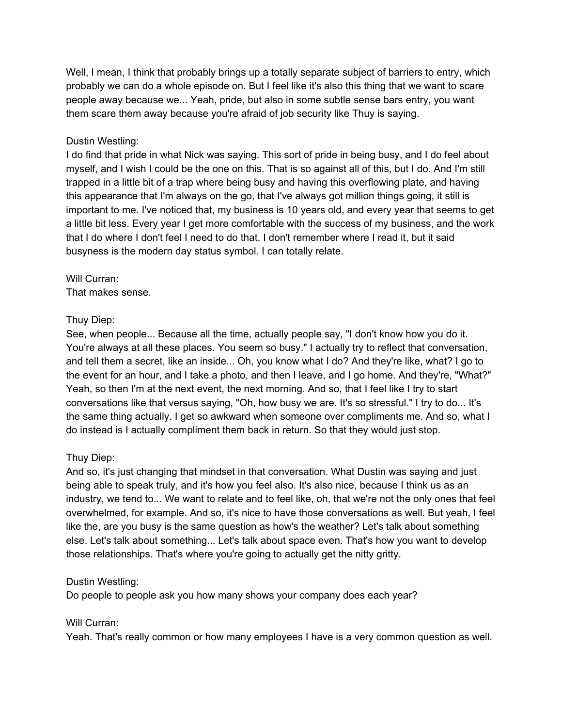Well, I mean, I think that probably brings up a totally separate subject of barriers to entry, which probably we can do a whole episode on. But I feel like it's also this thing that we want to scare people away because we... Yeah, pride, but also in some subtle sense bars entry, you want them scare them away because you're afraid of job security like Thuy is saying.

#### Dustin Westling:

I do find that pride in what Nick was saying. This sort of pride in being busy, and I do feel about myself, and I wish I could be the one on this. That is so against all of this, but I do. And I'm still trapped in a little bit of a trap where being busy and having this overflowing plate, and having this appearance that I'm always on the go, that I've always got million things going, it still is important to me. I've noticed that, my business is 10 years old, and every year that seems to get a little bit less. Every year I get more comfortable with the success of my business, and the work that I do where I don't feel I need to do that. I don't remember where I read it, but it said busyness is the modern day status symbol. I can totally relate.

# Will Curran:

That makes sense.

## Thuy Diep:

See, when people... Because all the time, actually people say, "I don't know how you do it. You're always at all these places. You seem so busy." I actually try to reflect that conversation, and tell them a secret, like an inside... Oh, you know what I do? And they're like, what? I go to the event for an hour, and I take a photo, and then I leave, and I go home. And they're, "What?" Yeah, so then I'm at the next event, the next morning. And so, that I feel like I try to start conversations like that versus saying, "Oh, how busy we are. It's so stressful." I try to do... It's the same thing actually. I get so awkward when someone over compliments me. And so, what I do instead is I actually compliment them back in return. So that they would just stop.

## Thuy Diep:

And so, it's just changing that mindset in that conversation. What Dustin was saying and just being able to speak truly, and it's how you feel also. It's also nice, because I think us as an industry, we tend to... We want to relate and to feel like, oh, that we're not the only ones that feel overwhelmed, for example. And so, it's nice to have those conversations as well. But yeah, I feel like the, are you busy is the same question as how's the weather? Let's talk about something else. Let's talk about something... Let's talk about space even. That's how you want to develop those relationships. That's where you're going to actually get the nitty gritty.

#### Dustin Westling:

Do people to people ask you how many shows your company does each year?

## Will Curran:

Yeah. That's really common or how many employees I have is a very common question as well.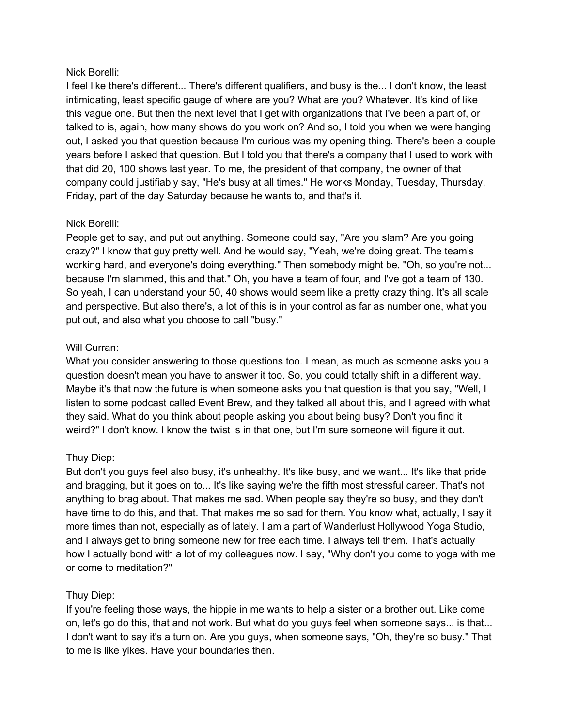## Nick Borelli:

I feel like there's different... There's different qualifiers, and busy is the... I don't know, the least intimidating, least specific gauge of where are you? What are you? Whatever. It's kind of like this vague one. But then the next level that I get with organizations that I've been a part of, or talked to is, again, how many shows do you work on? And so, I told you when we were hanging out, I asked you that question because I'm curious was my opening thing. There's been a couple years before I asked that question. But I told you that there's a company that I used to work with that did 20, 100 shows last year. To me, the president of that company, the owner of that company could justifiably say, "He's busy at all times." He works Monday, Tuesday, Thursday, Friday, part of the day Saturday because he wants to, and that's it.

## Nick Borelli:

People get to say, and put out anything. Someone could say, "Are you slam? Are you going crazy?" I know that guy pretty well. And he would say, "Yeah, we're doing great. The team's working hard, and everyone's doing everything." Then somebody might be, "Oh, so you're not... because I'm slammed, this and that." Oh, you have a team of four, and I've got a team of 130. So yeah, I can understand your 50, 40 shows would seem like a pretty crazy thing. It's all scale and perspective. But also there's, a lot of this is in your control as far as number one, what you put out, and also what you choose to call "busy."

### Will Curran:

What you consider answering to those questions too. I mean, as much as someone asks you a question doesn't mean you have to answer it too. So, you could totally shift in a different way. Maybe it's that now the future is when someone asks you that question is that you say, "Well, I listen to some podcast called Event Brew, and they talked all about this, and I agreed with what they said. What do you think about people asking you about being busy? Don't you find it weird?" I don't know. I know the twist is in that one, but I'm sure someone will figure it out.

## Thuy Diep:

But don't you guys feel also busy, it's unhealthy. It's like busy, and we want... It's like that pride and bragging, but it goes on to... It's like saying we're the fifth most stressful career. That's not anything to brag about. That makes me sad. When people say they're so busy, and they don't have time to do this, and that. That makes me so sad for them. You know what, actually, I say it more times than not, especially as of lately. I am a part of Wanderlust Hollywood Yoga Studio, and I always get to bring someone new for free each time. I always tell them. That's actually how I actually bond with a lot of my colleagues now. I say, "Why don't you come to yoga with me or come to meditation?"

## Thuy Diep:

If you're feeling those ways, the hippie in me wants to help a sister or a brother out. Like come on, let's go do this, that and not work. But what do you guys feel when someone says... is that... I don't want to say it's a turn on. Are you guys, when someone says, "Oh, they're so busy." That to me is like yikes. Have your boundaries then.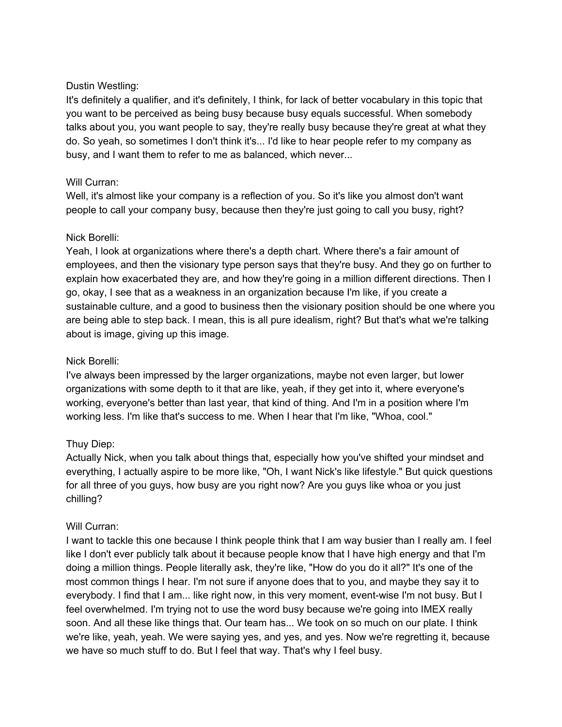### Dustin Westling:

It's definitely a qualifier, and it's definitely, I think, for lack of better vocabulary in this topic that you want to be perceived as being busy because busy equals successful. When somebody talks about you, you want people to say, they're really busy because they're great at what they do. So yeah, so sometimes I don't think it's... I'd like to hear people refer to my company as busy, and I want them to refer to me as balanced, which never...

### Will Curran:

Well, it's almost like your company is a reflection of you. So it's like you almost don't want people to call your company busy, because then they're just going to call you busy, right?

### Nick Borelli:

Yeah, I look at organizations where there's a depth chart. Where there's a fair amount of employees, and then the visionary type person says that they're busy. And they go on further to explain how exacerbated they are, and how they're going in a million different directions. Then I go, okay, I see that as a weakness in an organization because I'm like, if you create a sustainable culture, and a good to business then the visionary position should be one where you are being able to step back. I mean, this is all pure idealism, right? But that's what we're talking about is image, giving up this image.

## Nick Borelli:

I've always been impressed by the larger organizations, maybe not even larger, but lower organizations with some depth to it that are like, yeah, if they get into it, where everyone's working, everyone's better than last year, that kind of thing. And I'm in a position where I'm working less. I'm like that's success to me. When I hear that I'm like, "Whoa, cool."

## Thuy Diep:

Actually Nick, when you talk about things that, especially how you've shifted your mindset and everything, I actually aspire to be more like, "Oh, I want Nick's like lifestyle." But quick questions for all three of you guys, how busy are you right now? Are you guys like whoa or you just chilling?

#### Will Curran:

I want to tackle this one because I think people think that I am way busier than I really am. I feel like I don't ever publicly talk about it because people know that I have high energy and that I'm doing a million things. People literally ask, they're like, "How do you do it all?" It's one of the most common things I hear. I'm not sure if anyone does that to you, and maybe they say it to everybody. I find that I am... like right now, in this very moment, event-wise I'm not busy. But I feel overwhelmed. I'm trying not to use the word busy because we're going into IMEX really soon. And all these like things that. Our team has... We took on so much on our plate. I think we're like, yeah, yeah. We were saying yes, and yes, and yes. Now we're regretting it, because we have so much stuff to do. But I feel that way. That's why I feel busy.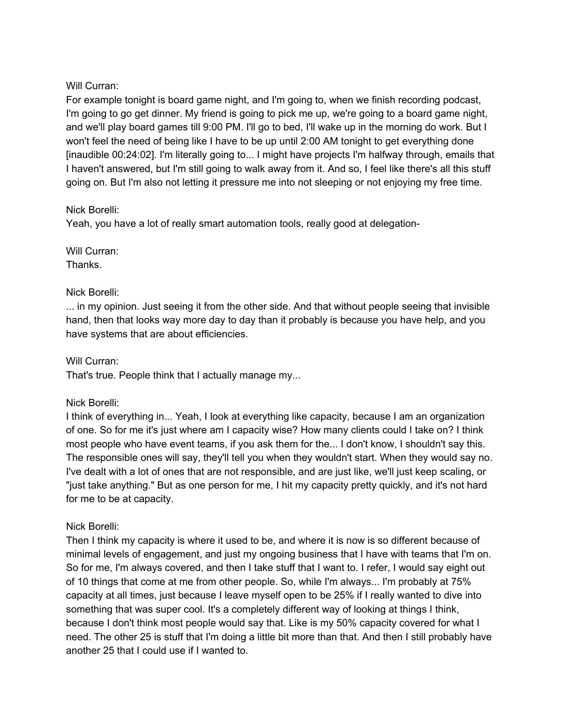## Will Curran:

For example tonight is board game night, and I'm going to, when we finish recording podcast, I'm going to go get dinner. My friend is going to pick me up, we're going to a board game night, and we'll play board games till 9:00 PM. I'll go to bed, I'll wake up in the morning do work. But I won't feel the need of being like I have to be up until 2:00 AM tonight to get everything done [inaudible 00:24:02]. I'm literally going to... I might have projects I'm halfway through, emails that I haven't answered, but I'm still going to walk away from it. And so, I feel like there's all this stuff going on. But I'm also not letting it pressure me into not sleeping or not enjoying my free time.

### Nick Borelli:

Yeah, you have a lot of really smart automation tools, really good at delegation-

Will Curran:

Thanks.

### Nick Borelli:

... in my opinion. Just seeing it from the other side. And that without people seeing that invisible hand, then that looks way more day to day than it probably is because you have help, and you have systems that are about efficiencies.

Will Curran:

That's true. People think that I actually manage my...

#### Nick Borelli:

I think of everything in... Yeah, I look at everything like capacity, because I am an organization of one. So for me it's just where am I capacity wise? How many clients could I take on? I think most people who have event teams, if you ask them for the... I don't know, I shouldn't say this. The responsible ones will say, they'll tell you when they wouldn't start. When they would say no. I've dealt with a lot of ones that are not responsible, and are just like, we'll just keep scaling, or "just take anything." But as one person for me, I hit my capacity pretty quickly, and it's not hard for me to be at capacity.

#### Nick Borelli:

Then I think my capacity is where it used to be, and where it is now is so different because of minimal levels of engagement, and just my ongoing business that I have with teams that I'm on. So for me, I'm always covered, and then I take stuff that I want to. I refer, I would say eight out of 10 things that come at me from other people. So, while I'm always... I'm probably at 75% capacity at all times, just because I leave myself open to be 25% if I really wanted to dive into something that was super cool. It's a completely different way of looking at things I think, because I don't think most people would say that. Like is my 50% capacity covered for what I need. The other 25 is stuff that I'm doing a little bit more than that. And then I still probably have another 25 that I could use if I wanted to.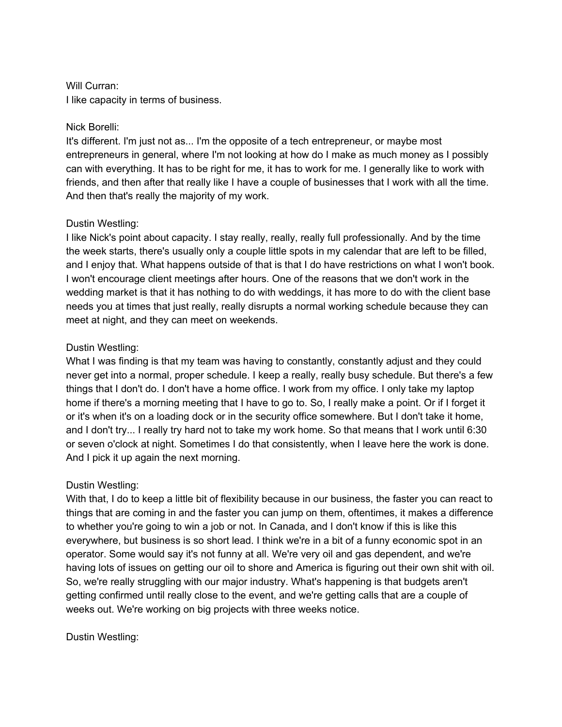## Will Curran: I like capacity in terms of business.

## Nick Borelli:

It's different. I'm just not as... I'm the opposite of a tech entrepreneur, or maybe most entrepreneurs in general, where I'm not looking at how do I make as much money as I possibly can with everything. It has to be right for me, it has to work for me. I generally like to work with friends, and then after that really like I have a couple of businesses that I work with all the time. And then that's really the majority of my work.

# Dustin Westling:

I like Nick's point about capacity. I stay really, really, really full professionally. And by the time the week starts, there's usually only a couple little spots in my calendar that are left to be filled, and I enjoy that. What happens outside of that is that I do have restrictions on what I won't book. I won't encourage client meetings after hours. One of the reasons that we don't work in the wedding market is that it has nothing to do with weddings, it has more to do with the client base needs you at times that just really, really disrupts a normal working schedule because they can meet at night, and they can meet on weekends.

# Dustin Westling:

What I was finding is that my team was having to constantly, constantly adjust and they could never get into a normal, proper schedule. I keep a really, really busy schedule. But there's a few things that I don't do. I don't have a home office. I work from my office. I only take my laptop home if there's a morning meeting that I have to go to. So, I really make a point. Or if I forget it or it's when it's on a loading dock or in the security office somewhere. But I don't take it home, and I don't try... I really try hard not to take my work home. So that means that I work until 6:30 or seven o'clock at night. Sometimes I do that consistently, when I leave here the work is done. And I pick it up again the next morning.

# Dustin Westling:

With that, I do to keep a little bit of flexibility because in our business, the faster you can react to things that are coming in and the faster you can jump on them, oftentimes, it makes a difference to whether you're going to win a job or not. In Canada, and I don't know if this is like this everywhere, but business is so short lead. I think we're in a bit of a funny economic spot in an operator. Some would say it's not funny at all. We're very oil and gas dependent, and we're having lots of issues on getting our oil to shore and America is figuring out their own shit with oil. So, we're really struggling with our major industry. What's happening is that budgets aren't getting confirmed until really close to the event, and we're getting calls that are a couple of weeks out. We're working on big projects with three weeks notice.

## Dustin Westling: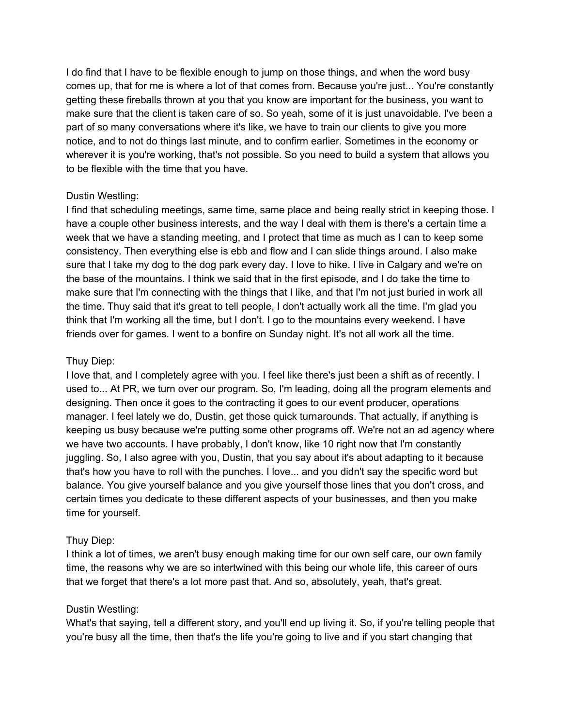I do find that I have to be flexible enough to jump on those things, and when the word busy comes up, that for me is where a lot of that comes from. Because you're just... You're constantly getting these fireballs thrown at you that you know are important for the business, you want to make sure that the client is taken care of so. So yeah, some of it is just unavoidable. I've been a part of so many conversations where it's like, we have to train our clients to give you more notice, and to not do things last minute, and to confirm earlier. Sometimes in the economy or wherever it is you're working, that's not possible. So you need to build a system that allows you to be flexible with the time that you have.

### Dustin Westling:

I find that scheduling meetings, same time, same place and being really strict in keeping those. I have a couple other business interests, and the way I deal with them is there's a certain time a week that we have a standing meeting, and I protect that time as much as I can to keep some consistency. Then everything else is ebb and flow and I can slide things around. I also make sure that I take my dog to the dog park every day. I love to hike. I live in Calgary and we're on the base of the mountains. I think we said that in the first episode, and I do take the time to make sure that I'm connecting with the things that I like, and that I'm not just buried in work all the time. Thuy said that it's great to tell people, I don't actually work all the time. I'm glad you think that I'm working all the time, but I don't. I go to the mountains every weekend. I have friends over for games. I went to a bonfire on Sunday night. It's not all work all the time.

### Thuy Diep:

I love that, and I completely agree with you. I feel like there's just been a shift as of recently. I used to... At PR, we turn over our program. So, I'm leading, doing all the program elements and designing. Then once it goes to the contracting it goes to our event producer, operations manager. I feel lately we do, Dustin, get those quick turnarounds. That actually, if anything is keeping us busy because we're putting some other programs off. We're not an ad agency where we have two accounts. I have probably, I don't know, like 10 right now that I'm constantly juggling. So, I also agree with you, Dustin, that you say about it's about adapting to it because that's how you have to roll with the punches. I love... and you didn't say the specific word but balance. You give yourself balance and you give yourself those lines that you don't cross, and certain times you dedicate to these different aspects of your businesses, and then you make time for yourself.

## Thuy Diep:

I think a lot of times, we aren't busy enough making time for our own self care, our own family time, the reasons why we are so intertwined with this being our whole life, this career of ours that we forget that there's a lot more past that. And so, absolutely, yeah, that's great.

#### Dustin Westling:

What's that saying, tell a different story, and you'll end up living it. So, if you're telling people that you're busy all the time, then that's the life you're going to live and if you start changing that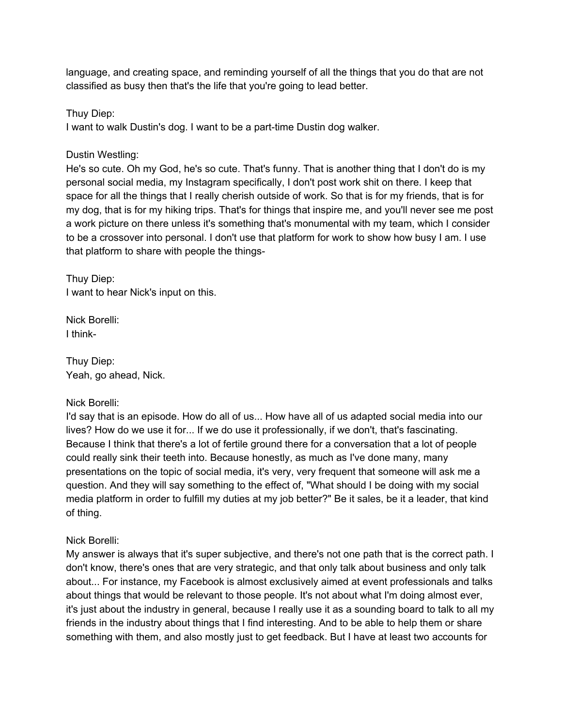language, and creating space, and reminding yourself of all the things that you do that are not classified as busy then that's the life that you're going to lead better.

Thuy Diep:

I want to walk Dustin's dog. I want to be a part-time Dustin dog walker.

Dustin Westling:

He's so cute. Oh my God, he's so cute. That's funny. That is another thing that I don't do is my personal social media, my Instagram specifically, I don't post work shit on there. I keep that space for all the things that I really cherish outside of work. So that is for my friends, that is for my dog, that is for my hiking trips. That's for things that inspire me, and you'll never see me post a work picture on there unless it's something that's monumental with my team, which I consider to be a crossover into personal. I don't use that platform for work to show how busy I am. I use that platform to share with people the things-

Thuy Diep: I want to hear Nick's input on this.

Nick Borelli: I think-

Thuy Diep: Yeah, go ahead, Nick.

#### Nick Borelli:

I'd say that is an episode. How do all of us... How have all of us adapted social media into our lives? How do we use it for... If we do use it professionally, if we don't, that's fascinating. Because I think that there's a lot of fertile ground there for a conversation that a lot of people could really sink their teeth into. Because honestly, as much as I've done many, many presentations on the topic of social media, it's very, very frequent that someone will ask me a question. And they will say something to the effect of, "What should I be doing with my social media platform in order to fulfill my duties at my job better?" Be it sales, be it a leader, that kind of thing.

## Nick Borelli:

My answer is always that it's super subjective, and there's not one path that is the correct path. I don't know, there's ones that are very strategic, and that only talk about business and only talk about... For instance, my Facebook is almost exclusively aimed at event professionals and talks about things that would be relevant to those people. It's not about what I'm doing almost ever, it's just about the industry in general, because I really use it as a sounding board to talk to all my friends in the industry about things that I find interesting. And to be able to help them or share something with them, and also mostly just to get feedback. But I have at least two accounts for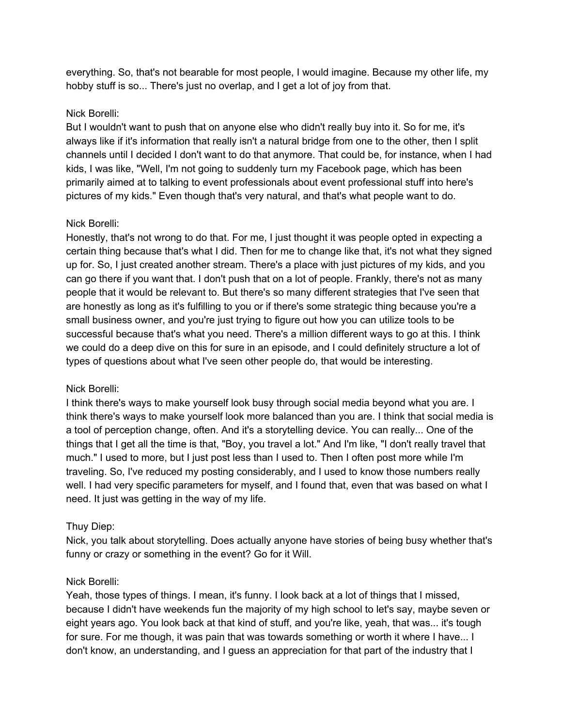everything. So, that's not bearable for most people, I would imagine. Because my other life, my hobby stuff is so... There's just no overlap, and I get a lot of joy from that.

## Nick Borelli:

But I wouldn't want to push that on anyone else who didn't really buy into it. So for me, it's always like if it's information that really isn't a natural bridge from one to the other, then I split channels until I decided I don't want to do that anymore. That could be, for instance, when I had kids, I was like, "Well, I'm not going to suddenly turn my Facebook page, which has been primarily aimed at to talking to event professionals about event professional stuff into here's pictures of my kids." Even though that's very natural, and that's what people want to do.

## Nick Borelli:

Honestly, that's not wrong to do that. For me, I just thought it was people opted in expecting a certain thing because that's what I did. Then for me to change like that, it's not what they signed up for. So, I just created another stream. There's a place with just pictures of my kids, and you can go there if you want that. I don't push that on a lot of people. Frankly, there's not as many people that it would be relevant to. But there's so many different strategies that I've seen that are honestly as long as it's fulfilling to you or if there's some strategic thing because you're a small business owner, and you're just trying to figure out how you can utilize tools to be successful because that's what you need. There's a million different ways to go at this. I think we could do a deep dive on this for sure in an episode, and I could definitely structure a lot of types of questions about what I've seen other people do, that would be interesting.

## Nick Borelli:

I think there's ways to make yourself look busy through social media beyond what you are. I think there's ways to make yourself look more balanced than you are. I think that social media is a tool of perception change, often. And it's a storytelling device. You can really... One of the things that I get all the time is that, "Boy, you travel a lot." And I'm like, "I don't really travel that much." I used to more, but I just post less than I used to. Then I often post more while I'm traveling. So, I've reduced my posting considerably, and I used to know those numbers really well. I had very specific parameters for myself, and I found that, even that was based on what I need. It just was getting in the way of my life.

## Thuy Diep:

Nick, you talk about storytelling. Does actually anyone have stories of being busy whether that's funny or crazy or something in the event? Go for it Will.

#### Nick Borelli:

Yeah, those types of things. I mean, it's funny. I look back at a lot of things that I missed, because I didn't have weekends fun the majority of my high school to let's say, maybe seven or eight years ago. You look back at that kind of stuff, and you're like, yeah, that was... it's tough for sure. For me though, it was pain that was towards something or worth it where I have... I don't know, an understanding, and I guess an appreciation for that part of the industry that I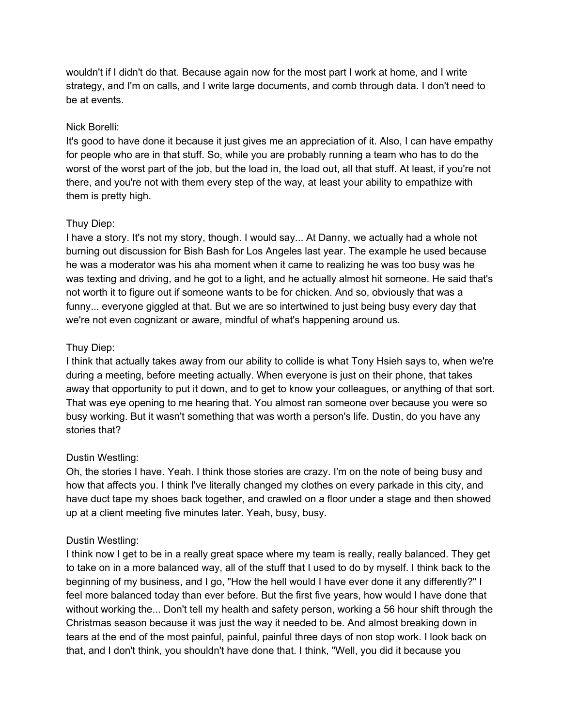wouldn't if I didn't do that. Because again now for the most part I work at home, and I write strategy, and I'm on calls, and I write large documents, and comb through data. I don't need to be at events.

### Nick Borelli:

It's good to have done it because it just gives me an appreciation of it. Also, I can have empathy for people who are in that stuff. So, while you are probably running a team who has to do the worst of the worst part of the job, but the load in, the load out, all that stuff. At least, if you're not there, and you're not with them every step of the way, at least your ability to empathize with them is pretty high.

## Thuy Diep:

I have a story. It's not my story, though. I would say... At Danny, we actually had a whole not burning out discussion for Bish Bash for Los Angeles last year. The example he used because he was a moderator was his aha moment when it came to realizing he was too busy was he was texting and driving, and he got to a light, and he actually almost hit someone. He said that's not worth it to figure out if someone wants to be for chicken. And so, obviously that was a funny... everyone giggled at that. But we are so intertwined to just being busy every day that we're not even cognizant or aware, mindful of what's happening around us.

## Thuy Diep:

I think that actually takes away from our ability to collide is what Tony Hsieh says to, when we're during a meeting, before meeting actually. When everyone is just on their phone, that takes away that opportunity to put it down, and to get to know your colleagues, or anything of that sort. That was eye opening to me hearing that. You almost ran someone over because you were so busy working. But it wasn't something that was worth a person's life. Dustin, do you have any stories that?

## Dustin Westling:

Oh, the stories I have. Yeah. I think those stories are crazy. I'm on the note of being busy and how that affects you. I think I've literally changed my clothes on every parkade in this city, and have duct tape my shoes back together, and crawled on a floor under a stage and then showed up at a client meeting five minutes later. Yeah, busy, busy.

## Dustin Westling:

I think now I get to be in a really great space where my team is really, really balanced. They get to take on in a more balanced way, all of the stuff that I used to do by myself. I think back to the beginning of my business, and I go, "How the hell would I have ever done it any differently?" I feel more balanced today than ever before. But the first five years, how would I have done that without working the... Don't tell my health and safety person, working a 56 hour shift through the Christmas season because it was just the way it needed to be. And almost breaking down in tears at the end of the most painful, painful, painful three days of non stop work. I look back on that, and I don't think, you shouldn't have done that. I think, "Well, you did it because you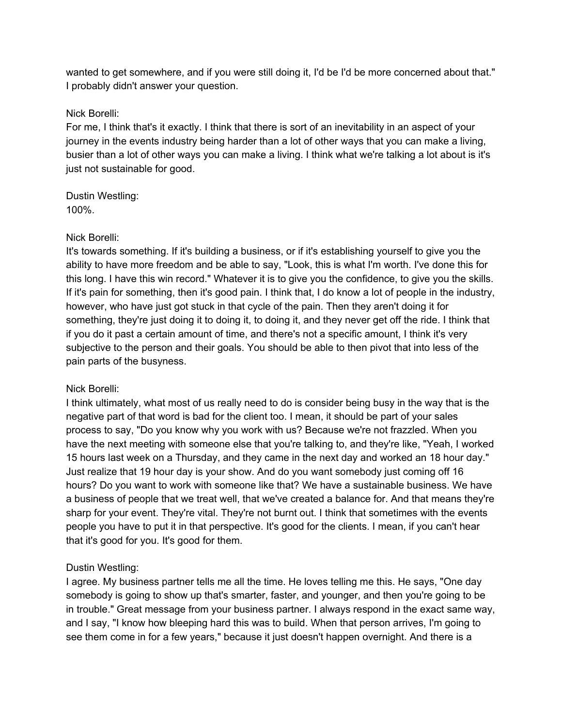wanted to get somewhere, and if you were still doing it, I'd be I'd be more concerned about that." I probably didn't answer your question.

### Nick Borelli:

For me, I think that's it exactly. I think that there is sort of an inevitability in an aspect of your journey in the events industry being harder than a lot of other ways that you can make a living, busier than a lot of other ways you can make a living. I think what we're talking a lot about is it's just not sustainable for good.

Dustin Westling: 100%.

### Nick Borelli:

It's towards something. If it's building a business, or if it's establishing yourself to give you the ability to have more freedom and be able to say, "Look, this is what I'm worth. I've done this for this long. I have this win record." Whatever it is to give you the confidence, to give you the skills. If it's pain for something, then it's good pain. I think that, I do know a lot of people in the industry, however, who have just got stuck in that cycle of the pain. Then they aren't doing it for something, they're just doing it to doing it, to doing it, and they never get off the ride. I think that if you do it past a certain amount of time, and there's not a specific amount, I think it's very subjective to the person and their goals. You should be able to then pivot that into less of the pain parts of the busyness.

## Nick Borelli:

I think ultimately, what most of us really need to do is consider being busy in the way that is the negative part of that word is bad for the client too. I mean, it should be part of your sales process to say, "Do you know why you work with us? Because we're not frazzled. When you have the next meeting with someone else that you're talking to, and they're like, "Yeah, I worked 15 hours last week on a Thursday, and they came in the next day and worked an 18 hour day." Just realize that 19 hour day is your show. And do you want somebody just coming off 16 hours? Do you want to work with someone like that? We have a sustainable business. We have a business of people that we treat well, that we've created a balance for. And that means they're sharp for your event. They're vital. They're not burnt out. I think that sometimes with the events people you have to put it in that perspective. It's good for the clients. I mean, if you can't hear that it's good for you. It's good for them.

## Dustin Westling:

I agree. My business partner tells me all the time. He loves telling me this. He says, "One day somebody is going to show up that's smarter, faster, and younger, and then you're going to be in trouble." Great message from your business partner. I always respond in the exact same way, and I say, "I know how bleeping hard this was to build. When that person arrives, I'm going to see them come in for a few years," because it just doesn't happen overnight. And there is a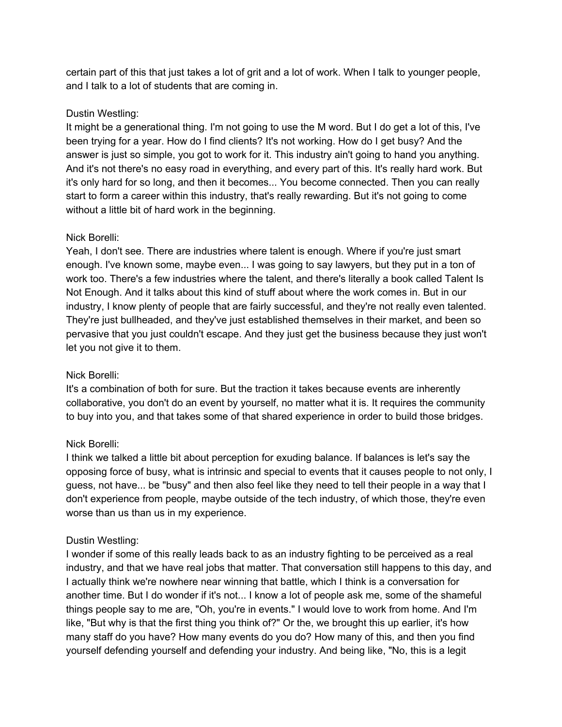certain part of this that just takes a lot of grit and a lot of work. When I talk to younger people, and I talk to a lot of students that are coming in.

## Dustin Westling:

It might be a generational thing. I'm not going to use the M word. But I do get a lot of this, I've been trying for a year. How do I find clients? It's not working. How do I get busy? And the answer is just so simple, you got to work for it. This industry ain't going to hand you anything. And it's not there's no easy road in everything, and every part of this. It's really hard work. But it's only hard for so long, and then it becomes... You become connected. Then you can really start to form a career within this industry, that's really rewarding. But it's not going to come without a little bit of hard work in the beginning.

### Nick Borelli:

Yeah, I don't see. There are industries where talent is enough. Where if you're just smart enough. I've known some, maybe even... I was going to say lawyers, but they put in a ton of work too. There's a few industries where the talent, and there's literally a book called Talent Is Not Enough. And it talks about this kind of stuff about where the work comes in. But in our industry, I know plenty of people that are fairly successful, and they're not really even talented. They're just bullheaded, and they've just established themselves in their market, and been so pervasive that you just couldn't escape. And they just get the business because they just won't let you not give it to them.

## Nick Borelli:

It's a combination of both for sure. But the traction it takes because events are inherently collaborative, you don't do an event by yourself, no matter what it is. It requires the community to buy into you, and that takes some of that shared experience in order to build those bridges.

## Nick Borelli:

I think we talked a little bit about perception for exuding balance. If balances is let's say the opposing force of busy, what is intrinsic and special to events that it causes people to not only, I guess, not have... be "busy" and then also feel like they need to tell their people in a way that I don't experience from people, maybe outside of the tech industry, of which those, they're even worse than us than us in my experience.

## Dustin Westling:

I wonder if some of this really leads back to as an industry fighting to be perceived as a real industry, and that we have real jobs that matter. That conversation still happens to this day, and I actually think we're nowhere near winning that battle, which I think is a conversation for another time. But I do wonder if it's not... I know a lot of people ask me, some of the shameful things people say to me are, "Oh, you're in events." I would love to work from home. And I'm like, "But why is that the first thing you think of?" Or the, we brought this up earlier, it's how many staff do you have? How many events do you do? How many of this, and then you find yourself defending yourself and defending your industry. And being like, "No, this is a legit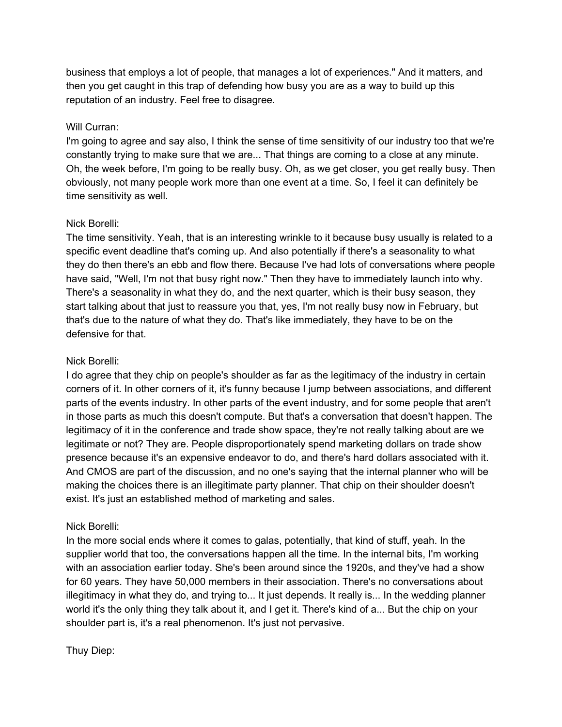business that employs a lot of people, that manages a lot of experiences." And it matters, and then you get caught in this trap of defending how busy you are as a way to build up this reputation of an industry. Feel free to disagree.

#### Will Curran:

I'm going to agree and say also, I think the sense of time sensitivity of our industry too that we're constantly trying to make sure that we are... That things are coming to a close at any minute. Oh, the week before, I'm going to be really busy. Oh, as we get closer, you get really busy. Then obviously, not many people work more than one event at a time. So, I feel it can definitely be time sensitivity as well.

### Nick Borelli:

The time sensitivity. Yeah, that is an interesting wrinkle to it because busy usually is related to a specific event deadline that's coming up. And also potentially if there's a seasonality to what they do then there's an ebb and flow there. Because I've had lots of conversations where people have said, "Well, I'm not that busy right now." Then they have to immediately launch into why. There's a seasonality in what they do, and the next quarter, which is their busy season, they start talking about that just to reassure you that, yes, I'm not really busy now in February, but that's due to the nature of what they do. That's like immediately, they have to be on the defensive for that.

## Nick Borelli:

I do agree that they chip on people's shoulder as far as the legitimacy of the industry in certain corners of it. In other corners of it, it's funny because I jump between associations, and different parts of the events industry. In other parts of the event industry, and for some people that aren't in those parts as much this doesn't compute. But that's a conversation that doesn't happen. The legitimacy of it in the conference and trade show space, they're not really talking about are we legitimate or not? They are. People disproportionately spend marketing dollars on trade show presence because it's an expensive endeavor to do, and there's hard dollars associated with it. And CMOS are part of the discussion, and no one's saying that the internal planner who will be making the choices there is an illegitimate party planner. That chip on their shoulder doesn't exist. It's just an established method of marketing and sales.

## Nick Borelli:

In the more social ends where it comes to galas, potentially, that kind of stuff, yeah. In the supplier world that too, the conversations happen all the time. In the internal bits, I'm working with an association earlier today. She's been around since the 1920s, and they've had a show for 60 years. They have 50,000 members in their association. There's no conversations about illegitimacy in what they do, and trying to... It just depends. It really is... In the wedding planner world it's the only thing they talk about it, and I get it. There's kind of a... But the chip on your shoulder part is, it's a real phenomenon. It's just not pervasive.

Thuy Diep: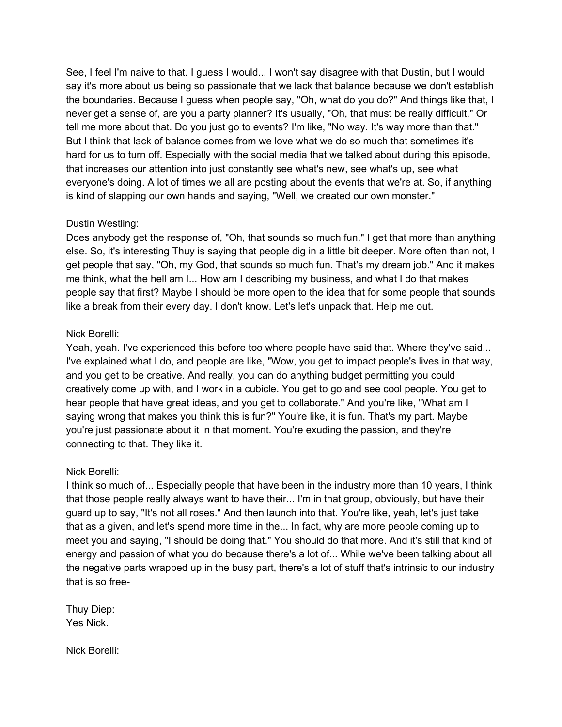See, I feel I'm naive to that. I guess I would... I won't say disagree with that Dustin, but I would say it's more about us being so passionate that we lack that balance because we don't establish the boundaries. Because I guess when people say, "Oh, what do you do?" And things like that, I never get a sense of, are you a party planner? It's usually, "Oh, that must be really difficult." Or tell me more about that. Do you just go to events? I'm like, "No way. It's way more than that." But I think that lack of balance comes from we love what we do so much that sometimes it's hard for us to turn off. Especially with the social media that we talked about during this episode, that increases our attention into just constantly see what's new, see what's up, see what everyone's doing. A lot of times we all are posting about the events that we're at. So, if anything is kind of slapping our own hands and saying, "Well, we created our own monster."

## Dustin Westling:

Does anybody get the response of, "Oh, that sounds so much fun." I get that more than anything else. So, it's interesting Thuy is saying that people dig in a little bit deeper. More often than not, I get people that say, "Oh, my God, that sounds so much fun. That's my dream job." And it makes me think, what the hell am I... How am I describing my business, and what I do that makes people say that first? Maybe I should be more open to the idea that for some people that sounds like a break from their every day. I don't know. Let's let's unpack that. Help me out.

### Nick Borelli:

Yeah, yeah. I've experienced this before too where people have said that. Where they've said... I've explained what I do, and people are like, "Wow, you get to impact people's lives in that way, and you get to be creative. And really, you can do anything budget permitting you could creatively come up with, and I work in a cubicle. You get to go and see cool people. You get to hear people that have great ideas, and you get to collaborate." And you're like, "What am I saying wrong that makes you think this is fun?" You're like, it is fun. That's my part. Maybe you're just passionate about it in that moment. You're exuding the passion, and they're connecting to that. They like it.

## Nick Borelli:

I think so much of... Especially people that have been in the industry more than 10 years, I think that those people really always want to have their... I'm in that group, obviously, but have their guard up to say, "It's not all roses." And then launch into that. You're like, yeah, let's just take that as a given, and let's spend more time in the... In fact, why are more people coming up to meet you and saying, "I should be doing that." You should do that more. And it's still that kind of energy and passion of what you do because there's a lot of... While we've been talking about all the negative parts wrapped up in the busy part, there's a lot of stuff that's intrinsic to our industry that is so free-

Thuy Diep: Yes Nick.

Nick Borelli: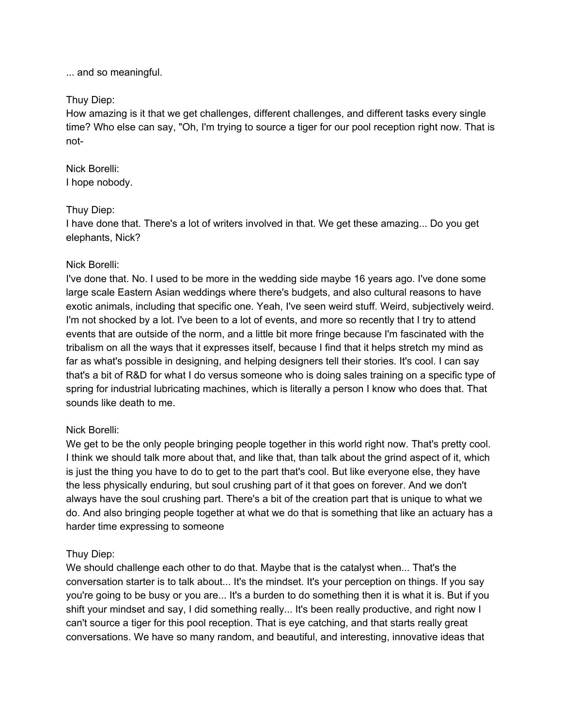... and so meaningful.

#### Thuy Diep:

How amazing is it that we get challenges, different challenges, and different tasks every single time? Who else can say, "Oh, I'm trying to source a tiger for our pool reception right now. That is not-

#### Nick Borelli: I hope nobody.

### Thuy Diep:

I have done that. There's a lot of writers involved in that. We get these amazing... Do you get elephants, Nick?

### Nick Borelli:

I've done that. No. I used to be more in the wedding side maybe 16 years ago. I've done some large scale Eastern Asian weddings where there's budgets, and also cultural reasons to have exotic animals, including that specific one. Yeah, I've seen weird stuff. Weird, subjectively weird. I'm not shocked by a lot. I've been to a lot of events, and more so recently that I try to attend events that are outside of the norm, and a little bit more fringe because I'm fascinated with the tribalism on all the ways that it expresses itself, because I find that it helps stretch my mind as far as what's possible in designing, and helping designers tell their stories. It's cool. I can say that's a bit of R&D for what I do versus someone who is doing sales training on a specific type of spring for industrial lubricating machines, which is literally a person I know who does that. That sounds like death to me.

## Nick Borelli:

We get to be the only people bringing people together in this world right now. That's pretty cool. I think we should talk more about that, and like that, than talk about the grind aspect of it, which is just the thing you have to do to get to the part that's cool. But like everyone else, they have the less physically enduring, but soul crushing part of it that goes on forever. And we don't always have the soul crushing part. There's a bit of the creation part that is unique to what we do. And also bringing people together at what we do that is something that like an actuary has a harder time expressing to someone

## Thuy Diep:

We should challenge each other to do that. Maybe that is the catalyst when... That's the conversation starter is to talk about... It's the mindset. It's your perception on things. If you say you're going to be busy or you are... It's a burden to do something then it is what it is. But if you shift your mindset and say, I did something really... It's been really productive, and right now I can't source a tiger for this pool reception. That is eye catching, and that starts really great conversations. We have so many random, and beautiful, and interesting, innovative ideas that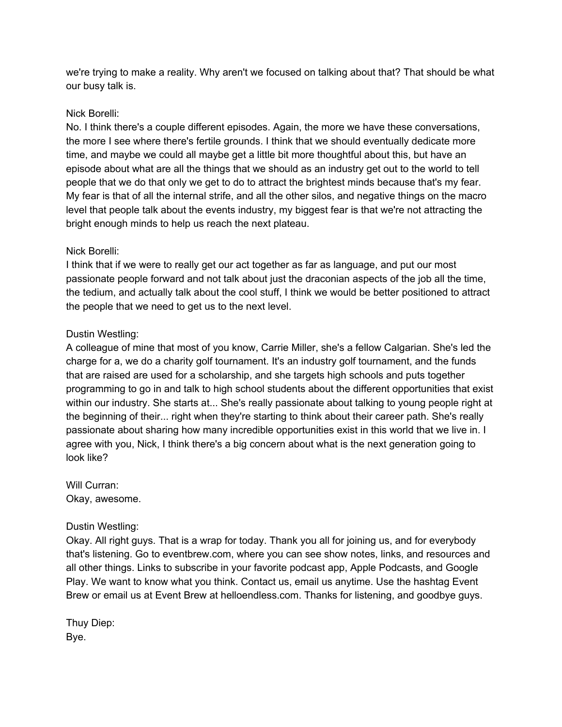we're trying to make a reality. Why aren't we focused on talking about that? That should be what our busy talk is.

## Nick Borelli:

No. I think there's a couple different episodes. Again, the more we have these conversations, the more I see where there's fertile grounds. I think that we should eventually dedicate more time, and maybe we could all maybe get a little bit more thoughtful about this, but have an episode about what are all the things that we should as an industry get out to the world to tell people that we do that only we get to do to attract the brightest minds because that's my fear. My fear is that of all the internal strife, and all the other silos, and negative things on the macro level that people talk about the events industry, my biggest fear is that we're not attracting the bright enough minds to help us reach the next plateau.

### Nick Borelli:

I think that if we were to really get our act together as far as language, and put our most passionate people forward and not talk about just the draconian aspects of the job all the time, the tedium, and actually talk about the cool stuff, I think we would be better positioned to attract the people that we need to get us to the next level.

## Dustin Westling:

A colleague of mine that most of you know, Carrie Miller, she's a fellow Calgarian. She's led the charge for a, we do a charity golf tournament. It's an industry golf tournament, and the funds that are raised are used for a scholarship, and she targets high schools and puts together programming to go in and talk to high school students about the different opportunities that exist within our industry. She starts at... She's really passionate about talking to young people right at the beginning of their... right when they're starting to think about their career path. She's really passionate about sharing how many incredible opportunities exist in this world that we live in. I agree with you, Nick, I think there's a big concern about what is the next generation going to look like?

Will Curran: Okay, awesome.

## Dustin Westling:

Okay. All right guys. That is a wrap for today. Thank you all for joining us, and for everybody that's listening. Go to eventbrew.com, where you can see show notes, links, and resources and all other things. Links to subscribe in your favorite podcast app, Apple Podcasts, and Google Play. We want to know what you think. Contact us, email us anytime. Use the hashtag Event Brew or email us at Event Brew at helloendless.com. Thanks for listening, and goodbye guys.

Thuy Diep: Bye.